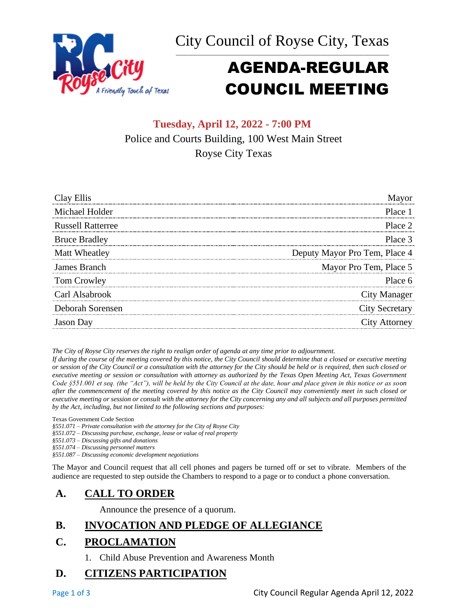



# AGENDA-REGULAR COUNCIL MEETING

# **Tuesday, April 12, 2022 - 7:00 PM** Police and Courts Building, 100 West Main Street Royse City Texas

| Clay Ellis               | Mayor                         |
|--------------------------|-------------------------------|
| Michael Holder           | Place 1                       |
| <b>Russell Ratterree</b> | Place 2                       |
| <b>Bruce Bradley</b>     | Place 3                       |
| Matt Wheatley            | Deputy Mayor Pro Tem, Place 4 |
| James Branch             | Mayor Pro Tem, Place 5        |
| Tom Crowley              | Place 6                       |
| Carl Alsabrook           | City Manager                  |
| Deborah Sorensen         | <b>City Secretary</b>         |
| <b>Jason</b> Day         | <b>City Attorney</b>          |

*The City of Royse City reserves the right to realign order of agenda at any time prior to adjournment.*

*If during the course of the meeting covered by this notice, the City Council should determine that a closed or executive meeting or session of the City Council or a consultation with the attorney for the City should be held or is required, then such closed or executive meeting or session or consultation with attorney as authorized by the Texas Open Meeting Act, Texas Government Code §551.001 et seq. (the "Act"), will be held by the City Council at the date, hour and place given in this notice or as soon after the commencement of the meeting covered by this notice as the City Council may conveniently meet in such closed or executive meeting or session or consult with the attorney for the City concerning any and all subjects and all purposes permitted by the Act, including, but not limited to the following sections and purposes:*

Texas Government Code Section

*§551.071 – Private consultation with the attorney for the City of Royse City* 

*§551.072 – Discussing purchase, exchange, lease or value of real property* 

*§551.073 – Discussing gifts and donations*

*§551.074 – Discussing personnel matters*

*§551.087 – Discussing economic development negotiations*

The Mayor and Council request that all cell phones and pagers be turned off or set to vibrate. Members of the audience are requested to step outside the Chambers to respond to a page or to conduct a phone conversation.

# **A. CALL TO ORDER**

Announce the presence of a quorum.

# **B. INVOCATION AND PLEDGE OF ALLEGIANCE**

### **C. PROCLAMATION**

1. Child Abuse Prevention and Awareness Month

# **D. CITIZENS PARTICIPATION**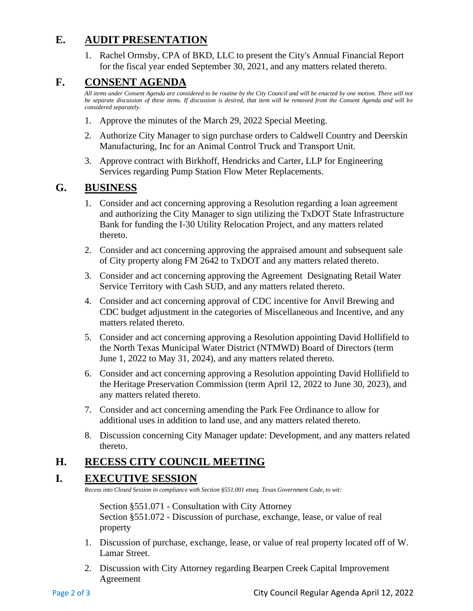# **E. AUDIT PRESENTATION**

1. Rachel Ormsby, CPA of BKD, LLC to present the City's Annual Financial Report for the fiscal year ended September 30, 2021, and any matters related thereto.

# **F. CONSENT AGENDA**

*All items under Consent Agenda are considered to be routine by the City Council and will be enacted by one motion. There will not be separate discussion of these items. If discussion is desired, that item will be removed from the Consent Agenda and will be considered separately.*

- 1. Approve the minutes of the March 29, 2022 Special Meeting.
- 2. Authorize City Manager to sign purchase orders to Caldwell Country and Deerskin Manufacturing, Inc for an Animal Control Truck and Transport Unit.
- 3. Approve contract with Birkhoff, Hendricks and Carter, LLP for Engineering Services regarding Pump Station Flow Meter Replacements.

# **G. BUSINESS**

- 1. Consider and act concerning approving a Resolution regarding a loan agreement and authorizing the City Manager to sign utilizing the TxDOT State Infrastructure Bank for funding the I-30 Utility Relocation Project, and any matters related thereto.
- 2. Consider and act concerning approving the appraised amount and subsequent sale of City property along FM 2642 to TxDOT and any matters related thereto.
- 3. Consider and act concerning approving the Agreement Designating Retail Water Service Territory with Cash SUD, and any matters related thereto.
- 4. Consider and act concerning approval of CDC incentive for Anvil Brewing and CDC budget adjustment in the categories of Miscellaneous and Incentive, and any matters related thereto.
- 5. Consider and act concerning approving a Resolution appointing David Hollifield to the North Texas Municipal Water District (NTMWD) Board of Directors (term June 1, 2022 to May 31, 2024), and any matters related thereto.
- 6. Consider and act concerning approving a Resolution appointing David Hollifield to the Heritage Preservation Commission (term April 12, 2022 to June 30, 2023), and any matters related thereto.
- 7. Consider and act concerning amending the Park Fee Ordinance to allow for additional uses in addition to land use, and any matters related thereto.
- 8. Discussion concerning City Manager update: Development, and any matters related thereto.

# **H. RECESS CITY COUNCIL MEETING**

### **I. EXECUTIVE SESSION**

*Recess into Closed Session in compliance with Section §551.001 etseq. Texas Government Code, to wit:*

Section §551.071 - Consultation with City Attorney Section §551.072 - Discussion of purchase, exchange, lease, or value of real property

- 1. Discussion of purchase, exchange, lease, or value of real property located off of W. Lamar Street.
- 2. Discussion with City Attorney regarding Bearpen Creek Capital Improvement Agreement

Page 2 of 3 City Council Regular Agenda April 12, 2022